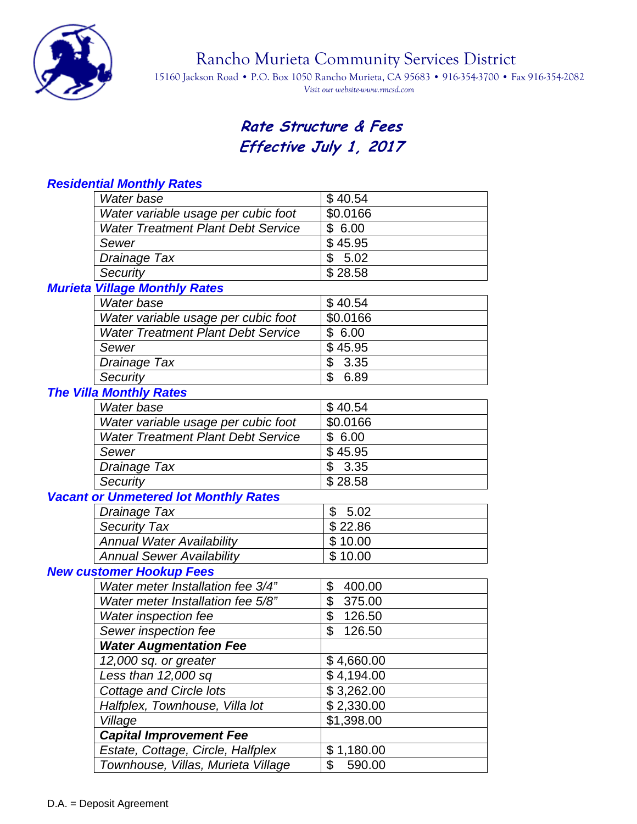

Rancho Murieta Community Services District

15160 Jackson Road • P.O. Box 1050 Rancho Murieta, CA 95683 • 916-354-3700 • Fax 916-354-2082 *Visit our website-www.rmcsd.com* 

## **Rate Structure & Fees Effective July 1, 2017**

| Residential Monthly Rates                    |              |
|----------------------------------------------|--------------|
| Water base                                   | \$40.54      |
| Water variable usage per cubic foot          | \$0.0166     |
| <b>Water Treatment Plant Debt Service</b>    | \$6.00       |
| Sewer                                        | \$45.95      |
| Drainage Tax                                 | \$<br>5.02   |
| Security                                     | \$28.58      |
| <b>Murieta Village Monthly Rates</b>         |              |
| Water base                                   | \$40.54      |
| Water variable usage per cubic foot          | \$0.0166     |
| <b>Water Treatment Plant Debt Service</b>    | \$6.00       |
| Sewer                                        | \$45.95      |
| Drainage Tax                                 | \$<br>3.35   |
| Security                                     | \$<br>6.89   |
| <b>The Villa Monthly Rates</b>               |              |
| Water base                                   | \$40.54      |
| Water variable usage per cubic foot          | \$0.0166     |
| <b>Water Treatment Plant Debt Service</b>    | \$6.00       |
| Sewer                                        | \$45.95      |
| Drainage Tax                                 | \$3.35       |
| Security                                     | \$28.58      |
| <b>Vacant or Unmetered lot Monthly Rates</b> |              |
| Drainage Tax                                 | \$<br>5.02   |
| <b>Security Tax</b>                          | \$22.86      |
| <b>Annual Water Availability</b>             | \$10.00      |
| <b>Annual Sewer Availability</b>             | \$10.00      |
| <b>New customer Hookup Fees</b>              |              |
| Water meter Installation fee 3/4"            | \$<br>400.00 |
| Water meter Installation fee 5/8"            | \$<br>375.00 |
| Water inspection fee                         | \$<br>126.50 |
| Sewer inspection fee                         | \$<br>126.50 |
| <b>Water Augmentation Fee</b>                |              |
| 12,000 sq. or greater                        | \$4,660.00   |
| Less than 12,000 sq                          | \$4,194.00   |
| <b>Cottage and Circle lots</b>               | \$3,262.00   |
| Halfplex, Townhouse, Villa lot               | \$2,330.00   |
| Village                                      | \$1,398.00   |
| <b>Capital Improvement Fee</b>               |              |
| Estate, Cottage, Circle, Halfplex            | \$1,180.00   |
| Townhouse, Villas, Murieta Village           | \$<br>590.00 |
|                                              |              |

## *Residential Monthly Rates*